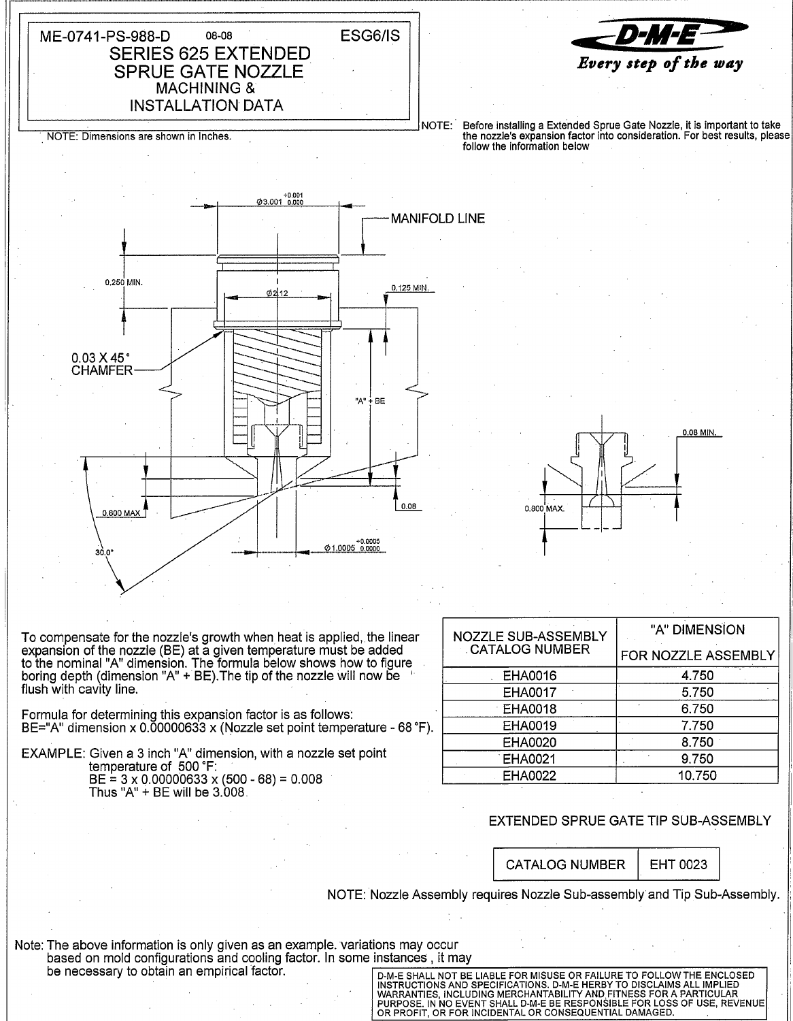08-08 **SERIES 625 EXTENDED** 

**SPRUE GATE NOZZLE MACHINING & INSTALLATION DATA** 

To compensate for the nozzle's growth when heat is applied, the linear expansion of the nozzle (BE) at a given temperature must be added to the nominal "A" dimension. The formula below shows how to figure<br>boring depth (dimension "A" + BE). The tip of the nozzle will now be flush with cavity line.

Formula for determining this expansion factor is as follows: BE="A" dimension x 0.00000633 x (Nozzle set point temperature - 68 °F).

EXAMPLE: Given a 3 inch "A" dimension, with a nozzle set point temperature of 500 °F:  $BE = 3 \times 0.00000633 \times (500 - 68) = 0.008$ Thus "A" + BE will be 3,008.

| <b>NOZZLE SUB-ASSEMBLY</b><br><b>CATALOG NUMBER</b> | "A" DIMENSION       |
|-----------------------------------------------------|---------------------|
|                                                     | FOR NOZZLE ASSEMBLY |
| <b>EHA0016</b>                                      | 4.750               |
| EHA0017                                             | 5.750               |
| <b>EHA0018</b>                                      | 6.750               |
| EHA0019                                             | 7.750               |
| <b>EHA0020</b>                                      | 8.750               |
| <b>EHA0021</b>                                      | 9.750               |
| <b>EHA0022</b>                                      | 10.750              |

## EXTENDED SPRUE GATE TIP SUB-ASSEMBLY

**CATALOG NUMBER** 

EHT 0023

NOTE: Nozzle Assembly requires Nozzle Sub-assembly and Tip Sub-Assembly.

Note: The above information is only given as an example. variations may occur based on mold configurations and cooling factor. In some instances, it may be necessary to obtain an empirical factor.

D-M-E SHALL NOT BE LIABLE FOR MISUSE OR FAILURE TO FOLLOW THE ENCLOSED D-M-E SHALL NOT BE LIABLE FOR MISSOR OR FAILURE TO FOLLOW THE ENCLOSED INSTRUCTIONS AND SPECIFICATIONS. D-M-E HERBY TO DISCLAIMS ALL IMPLIED WARRANTIES, INCLUDING MERCHANTABILITY AND FITNESS FOR A PARTICULAR PURPOSE. IN NO



ESG6/IS





NOTE: Dimensions are shown in Inches.

ME-0741-PS-988-D